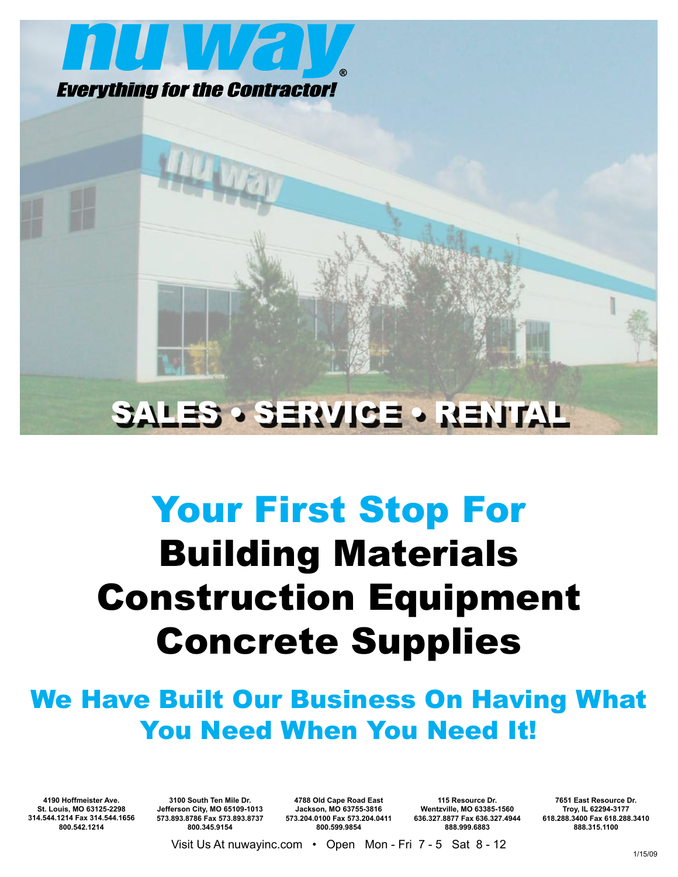

# SALES • SERVICE • RENTAL

# Your First Stop For Building Materials Construction Equipment Concrete Supplies

# We Have Built Our Business On Having What You Need When You Need It!

**4190 Hoffmeister Ave. St. Louis, MO 63125-2298 314.544.1214 Fax 314.544.1656 800.542.1214**

**3100 South Ten Mile Dr. Jefferson City, MO 65109-1013 573.893.8786 Fax 573.893.8737 800.345.9154**

**4788 Old Cape Road East Jackson, MO 63755-3816 573.204.0100 Fax 573.204.0411 800.599.9854**

**115 Resource Dr. Wentzville, MO 63385-1560 636.327.8877 Fax 636.327.4944 888.999.6883**

**7651 East Resource Dr. Troy, IL 62294-3177 618.288.3400 Fax 618.288.3410 888.315.1100**

Visit Us At nuwayinc.com • Open Mon - Fri 7 - 5 Sat 8 - 12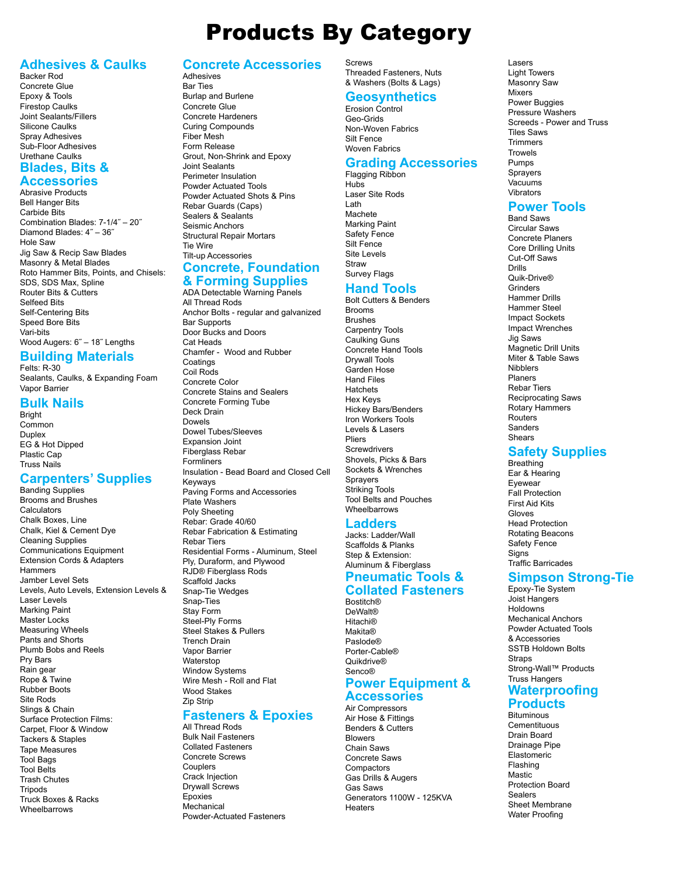### **Adhesives & Caulks**

Backer Rod Concrete Glue Epoxy & Tools Firestop Caulks Joint Sealants/Fillers Silicone Caulks Spray Adhesives Sub-Floor Adhesives Urethane Caulks

#### **Blades, Bits & Accessories**

Abrasive Products Bell Hanger Bits Carbide Bits Combination Blades: 7-1/4˝ – 20˝ Diamond Blades: 4˝ – 36˝ Hole Saw Jig Saw & Recip Saw Blades Masonry & Metal Blades Roto Hammer Bits, Points, and Chisels: SDS, SDS Max, Spline Router Bits & Cutters Selfeed Bits Self-Centering Bits Speed Bore Bits Vari-bits Wood Augers: 6˝ – 18˝ Lengths

# **Building Materials**

Felts: R-30 Sealants, Caulks, & Expanding Foam Vapor Barrier

### **Bulk Nails**

Bright Common **Duplex** EG & Hot Dipped Plastic Cap Truss Nails

### **Carpenters' Supplies**

Banding Supplies Brooms and Brushes Calculators Chalk Boxes, Line Chalk, Kiel & Cement Dye Cleaning Supplies Communications Equipment Extension Cords & Adapters **Hammers** Jamber Level Sets Levels, Auto Levels, Extension Levels & Laser Levels Marking Paint Master Locks Measuring Wheels Pants and Shorts Plumb Bobs and Reels Pry Bars Rain gear Rope & Twine Rubber Boots Site Rods Slings & Chain Surface Protection Films: Carpet, Floor & Window Tackers & Staples Tape Measures Tool Bags Tool Belts Trash Chutes **Tripods** Truck Boxes & Racks Wheelbarrows

# **Concrete Accessories**

#### Adhesives Bar Ties

Burlap and Burlene Concrete Glue Concrete Hardeners Curing Compounds Fiber Mesh Form Release Grout, Non-Shrink and Epoxy Joint Sealants Perimeter Insulation Powder Actuated Tools Powder Actuated Shots & Pins Rebar Guards (Caps) Sealers & Sealants Seismic Anchors Structural Repair Mortars Tie Wire Tilt-up Accessories

### **Concrete, Foundation & Forming Supplies**

ADA Detectable Warning Panels All Thread Rods Anchor Bolts - regular and galvanized Bar Supports Door Bucks and Doors Cat Heads Chamfer - Wood and Rubber Coatings Coil Rods Concrete Color Concrete Stains and Sealers Concrete Forming Tube Deck Drain Dowels Dowel Tubes/Sleeves Expansion Joint Fiberglass Rebar Formliners Insulation - Bead Board and Closed Cell Keyways Paving Forms and Accessories Plate Washers Poly Sheeting Rebar: Grade 40/60 Rebar Fabrication & Estimating Rebar Tiers Residential Forms - Aluminum, Steel Ply, Duraform, and Plywood RJD® Fiberglass Rods Scaffold Jacks Snap-Tie Wedges Snap-Ties Stay Form Steel-Ply Forms Steel Stakes & Pullers Trench Drain Vapor Barrier Waterstop Window Systems Wire Mesh - Roll and Flat Wood Stakes Zip Strip

# **Fasteners & Epoxies**

All Thread Rods Bulk Nail Fasteners Collated Fasteners Concrete Screws Couplers Crack Injection Drywall Screws Epoxies Mechanical Powder-Actuated Fasteners **Screws** Threaded Fasteners, Nuts & Washers (Bolts & Lags)

### **Geosynthetics**

Erosion Control Geo-Grids Non-Woven Fabrics Silt Fence Woven Fahrics

#### **Grading Accessories** Flagging Ribbon

Hubs Laser Site Rods Lath Machete Marking Paint Safety Fence Silt Fence Site Levels Straw Survey Flags

# **Hand Tools**

Bolt Cutters & Benders Brooms Brushes Carpentry Tools Caulking Guns Concrete Hand Tools Drywall Tools Garden Hose Hand Files Hatchets Hex Keys Hickey Bars/Benders Iron Workers Tools Levels & Lasers Pliers **Screwdrivers** Shovels, Picks & Bars Sockets & Wrenches **Sprayers** Striking Tools Tool Belts and Pouches Wheelbarrows

### **Ladders**

Jacks: Ladder/Wall Scaffolds & Planks Step & Extension: Aluminum & Fiberglass

### **Pneumatic Tools & Collated Fasteners**

Bostitch® DeWalt® Hitachi® Makita® Paslode® Porter-Cable® Quikdrive® Senco® **Power Equipment &**

#### **Accessories** Air Compressors

Air Hose & Fittings Benders & Cutters Blowers Chain Saws Concrete Saws **Compactors** Gas Drills & Augers Gas Saws Generators 1100W - 125KVA Heaters

Lasers Light Towers Masonry Saw Mixers Power Buggies Pressure Washers Screeds - Power and Truss Tiles Saws **Trimmare Trowels** Pumps Sprayers Vacuums Vibrators

# **Power Tools**

Band Saws Circular Saws Concrete Planers Core Drilling Units Cut-Off Saws Drills Quik-Drive® **Grinders** Hammer Drills Hammer Steel Impact Sockets Impact Wrenches Jig Saws Magnetic Drill Units Miter & Table Saws **Nihhlare** Planers Rebar Tiers Reciprocating Saws Rotary Hammers Routers Sanders Shears

# **Safety Supplies**

**Breathing** Ear & Hearing Eyewear Fall Protection First Aid Kits Gloves Head Protection Rotating Beacons Safety Fence **Signs** Traffic Barricades

# **Simpson Strong-Tie**

Epoxy-Tie System Joist Hangers **Holdowns** Mechanical Anchors Powder Actuated Tools & Accessories SSTB Holdown Bolts **Straps** Strong-Wall™ Products Truss Hangers

### **Waterproofing Products**

**Bituminous Cementituous** Drain Board Drainage Pipe Elastomeric Flashing **Mastic** Protection Board Sealers Sheet Membrane Water Proofing

# Products By Category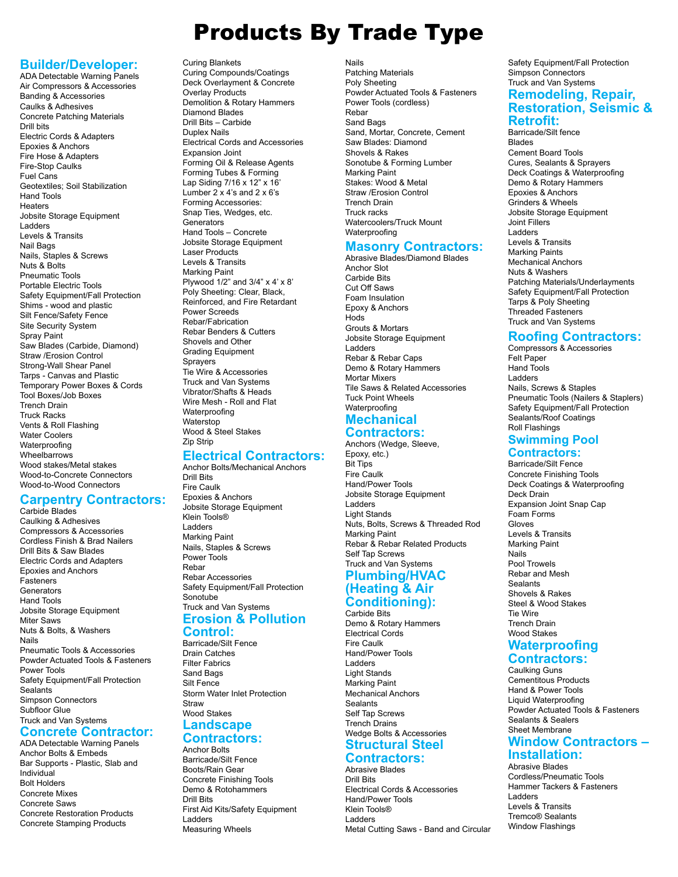# Products By Trade Type

# **Builder/Developer:**

ADA Detectable Warning Panels Air Compressors & Accessories Banding & Accessories Caulks & Adhesives Concrete Patching Materials Drill bits Electric Cords & Adapters Epoxies & Anchors Fire Hose & Adapters Fire-Stop Caulks Fuel Cans Geotextiles; Soil Stabilization Hand Tools **Heaters** Jobsite Storage Equipment Ladders Levels & Transits Nail Bags Nails, Staples & Screws Nuts & Bolts Pneumatic Tools Portable Electric Tools Safety Equipment/Fall Protection Shims - wood and plastic Silt Fence/Safety Fence Site Security System Spray Paint Saw Blades (Carbide, Diamond) Straw /Erosion Control Strong-Wall Shear Panel Tarps - Canvas and Plastic Temporary Power Boxes & Cords Tool Boxes/Job Boxes Trench Drain Truck Racks Vents & Roll Flashing Water Coolers Waterproofing Wheelbarrows Wood stakes/Metal stakes Wood-to-Concrete Connectors Wood-to-Wood Connectors

### **Carpentry Contractors:**

Carbide Blades Caulking & Adhesives Compressors & Accessories Cordless Finish & Brad Nailers Drill Bits & Saw Blades Electric Cords and Adapters Epoxies and Anchors Fasteners Generators Hand Tools Jobsite Storage Equipment Miter Saws Nuts & Bolts, & Washers Nails Pneumatic Tools & Accessories Powder Actuated Tools & Fasteners Power Tools Safety Equipment/Fall Protection Sealants Simpson Connectors Subfloor Glue Truck and Van Systems

#### **Concrete Contractor:** ADA Detectable Warning Panels

Anchor Bolts & Embeds Bar Supports - Plastic, Slab and Individual Bolt Holders Concrete Mixes Concrete Saws Concrete Restoration Products Concrete Stamping Products

### Curing Blankets

Curing Compounds/Coatings Deck Overlayment & Concrete Overlay Products Demolition & Rotary Hammers Diamond Blades Drill Bits – Carbide Duplex Nails Electrical Cords and Accessories Expansion Joint Forming Oil & Release Agents Forming Tubes & Forming Lap Siding 7/16 x 12" x 16' Lumber 2 x 4's and 2 x 6's Forming Accessories: Snap Ties, Wedges, etc. **Generators** Hand Tools – Concrete Jobsite Storage Equipment Laser Products Levels & Transits Marking Paint Plywood 1/2" and 3/4" x 4' x 8' Poly Sheeting: Clear, Black, Reinforced, and Fire Retardant Power Screeds Rebar/Fabrication Rebar Benders & Cutters Shovels and Other Grading Equipment **Sprayers** Tie Wire & Accessories Truck and Van Systems Vibrator/Shafts & Heads Wire Mesh - Roll and Flat Waterproofing Waterstop Wood & Steel Stakes Zip Strip

# **Electrical Contractors:**

Anchor Bolts/Mechanical Anchors Drill Bits Fire Caulk Epoxies & Anchors Jobsite Storage Equipment Klein Tools® Ladders Marking Paint Nails, Staples & Screws Power Tools Rebar Rebar Accessories Safety Equipment/Fall Protection Sonotube Truck and Van Systems

# **Erosion & Pollution**

**Control:** Barricade/Silt Fence Drain Catches Filter Fabrics Sand Bags Silt Fence Storm Water Inlet Protection **Straw** Wood Stakes

# **Landscape**

#### **Contractors:** Anchor Bolts

Barricade/Silt Fence Boots/Rain Gear Concrete Finishing Tools Demo & Rotohammers Drill Bits First Aid Kits/Safety Equipment Ladders Measuring Wheels

Nails Patching Materials Poly Sheeting Powder Actuated Tools & Fasteners Power Tools (cordless) Rebar Sand Bags Sand, Mortar, Concrete, Cement Saw Blades: Diamond Shovels & Rakes Sonotube & Forming Lumber Marking Paint Stakes: Wood & Metal Straw /Erosion Control Trench Drain Truck racks Watercoolers/Truck Mount Waterproofing

### **Masonry Contractors:**

Abrasive Blades/Diamond Blades Anchor Slot Carbide Bits Cut Off Saws Foam Insulation Epoxy & Anchors Hods Grouts & Mortars Jobsite Storage Equipment Ladders Rebar & Rebar Caps Demo & Rotary Hammers Mortar Mixers Tile Saws & Related Accessories Tuck Point Wheels **Waterproofing Mechanical** 

# **Contractors:**

Anchors (Wedge, Sleeve, Epoxy, etc.) Bit Tips Fire Caulk Hand/Power Tools Jobsite Storage Equipment Ladders Light Stands Nuts, Bolts, Screws & Threaded Rod Marking Paint Rebar & Rebar Related Products Self Tap Screws Truck and Van Systems

### **Plumbing/HVAC (Heating & Air Conditioning):**

Carbide Bits Demo & Rotary Hammers Electrical Cords Fire Caulk Hand/Power Tools Ladders Light Stands Marking Paint Mechanical Anchors Sealants Self Tap Screws Trench Drains Wedge Bolts & Accessories **Structural Steel** 

### **Contractors:**

Abrasive Blades Drill Bits Electrical Cords & Accessories Hand/Power Tools Klein Tools® Ladders Metal Cutting Saws - Band and Circular Safety Equipment/Fall Protection Simpson Connectors Truck and Van Systems **Remodeling, Repair, Restoration, Seismic & Retrofit:**

Barricade/Silt fence Blades Cement Board Tools Cures, Sealants & Sprayers Deck Coatings & Waterproofing Demo & Rotary Hammers Epoxies & Anchors Grinders & Wheels Jobsite Storage Equipment Joint Fillers Ladders Levels & Transits Marking Paints Mechanical Anchors Nuts & Washers Patching Materials/Underlayments Safety Equipment/Fall Protection Tarps & Poly Sheeting Threaded Fasteners Truck and Van Systems

# **Roofing Contractors:**

Compressors & Accessories Felt Paper Hand Tools Ladders Nails, Screws & Staples Pneumatic Tools (Nailers & Staplers) Safety Equipment/Fall Protection Sealants/Roof Coatings Roll Flashings

#### **Swimming Pool Contractors:**

Barricade/Silt Fence Concrete Finishing Tools Deck Coatings & Waterproofing Deck Drain Expansion Joint Snap Cap Foam Forms Gloves Levels & Transits Marking Paint Nails Pool Trowels Rebar and Mesh Sealants Shovels & Rakes Steel & Wood Stakes Tie Wire Trench Drain Wood Stakes

### **Waterproofing Contractors:**

# Caulking Guns

Cementitous Products Hand & Power Tools Liquid Waterproofing Powder Actuated Tools & Fasteners Sealants & Sealers Sheet Membrane **Window Contractors –**

# **Installation:**

Abrasive Blades Cordless/Pneumatic Tools Hammer Tackers & Fasteners Ladders Levels & Transits Tremco® Sealants Window Flashings